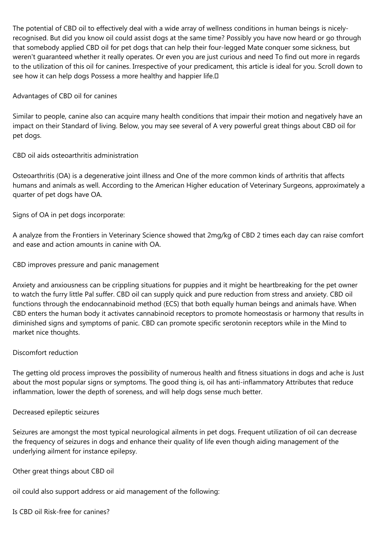The potential of CBD oil to effectively deal with a wide array of wellness conditions in human beings is nicelyrecognised. But did you know oil could assist dogs at the same time? Possibly you have now heard or go through that somebody applied CBD oil for pet dogs that can help their four-legged Mate conquer some sickness, but weren't guaranteed whether it really operates. Or even you are just curious and need To find out more in regards to the utilization of this oil for canines. Irrespective of your predicament, this article is ideal for you. Scroll down to see how it can help dogs Possess a more healthy and happier life.<sup>I</sup>

## Advantages of CBD oil for canines

Similar to people, canine also can acquire many health conditions that impair their motion and negatively have an impact on their Standard of living. Below, you may see several of A very powerful great things about CBD oil for pet dogs.

CBD oil aids osteoarthritis administration

Osteoarthritis (OA) is a degenerative joint illness and One of the more common kinds of arthritis that affects humans and animals as well. According to the American Higher education of Veterinary Surgeons, approximately a quarter of pet dogs have OA.

Signs of OA in pet dogs incorporate:

A analyze from the Frontiers in Veterinary Science showed that 2mg/kg of CBD 2 times each day can raise comfort and ease and action amounts in canine with OA.

CBD improves pressure and panic management

Anxiety and anxiousness can be crippling situations for puppies and it might be heartbreaking for the pet owner to watch the furry little Pal suffer. CBD oil can supply quick and pure reduction from stress and anxiety. CBD oil functions through the endocannabinoid method (ECS) that both equally human beings and animals have. When CBD enters the human body it activates cannabinoid receptors to promote homeostasis or harmony that results in diminished signs and symptoms of panic. CBD can promote specific serotonin receptors while in the Mind to market nice thoughts.

## Discomfort reduction

The getting old process improves the possibility of numerous health and fitness situations in dogs and ache is Just about the most popular signs or symptoms. The good thing is, oil has anti-inflammatory Attributes that reduce inflammation, lower the depth of soreness, and will help dogs sense much better.

## Decreased epileptic seizures

Seizures are amongst the most typical neurological ailments in pet dogs. Frequent utilization of oil can decrease the frequency of seizures in dogs and enhance their quality of life even though aiding management of the underlying ailment for instance epilepsy.

Other great things about CBD oil

oil could also support address or aid management of the following:

Is CBD oil Risk-free for canines?